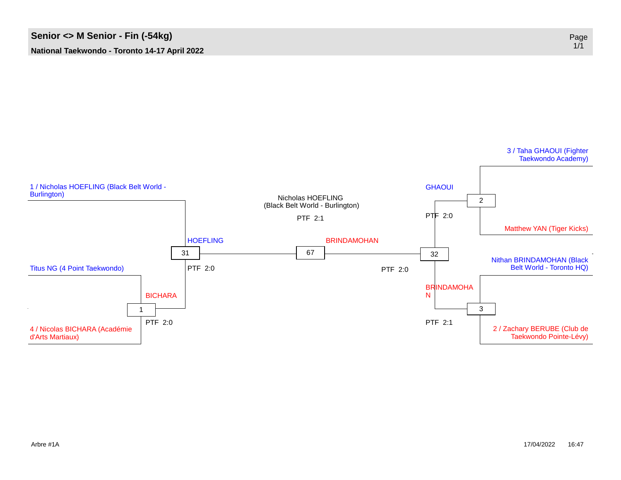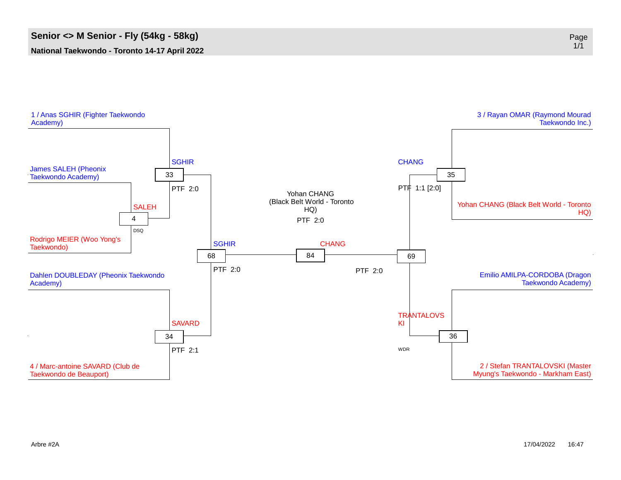

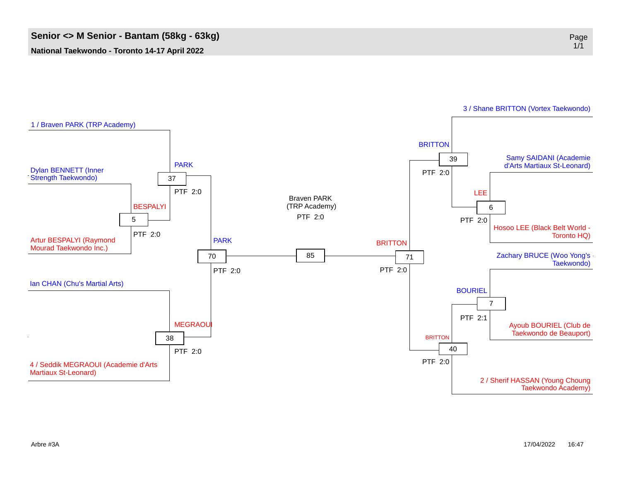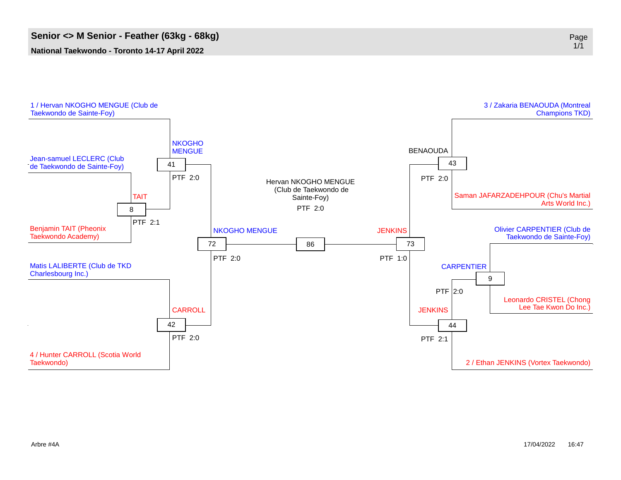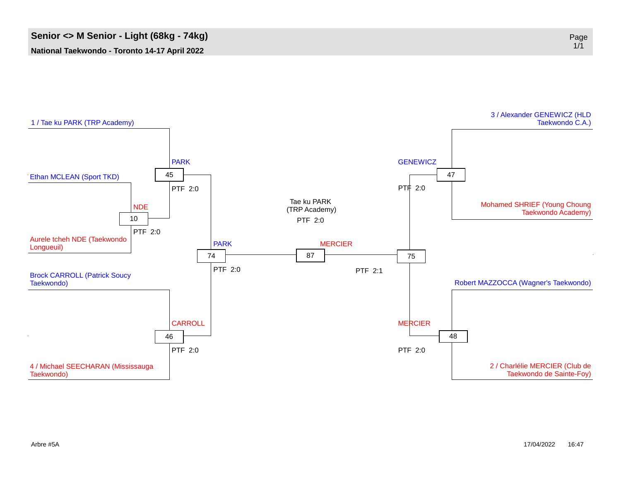

1/1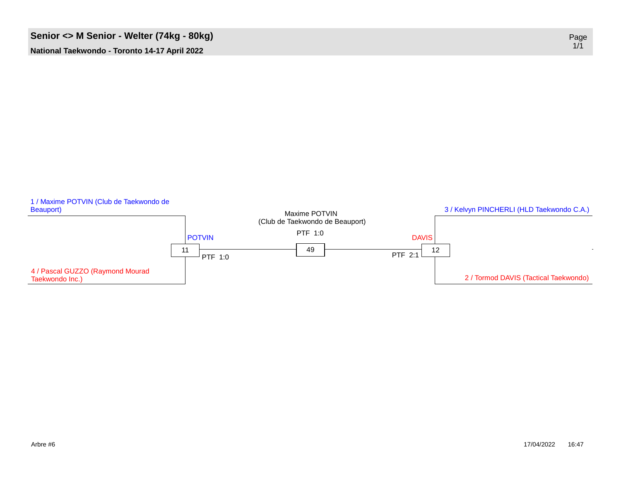## **Senior** <> **M** Senior **-** Welter (74kg - 80kg)

**National Taekwondo - Toronto 14-17 April 2022**



Page<br>1/1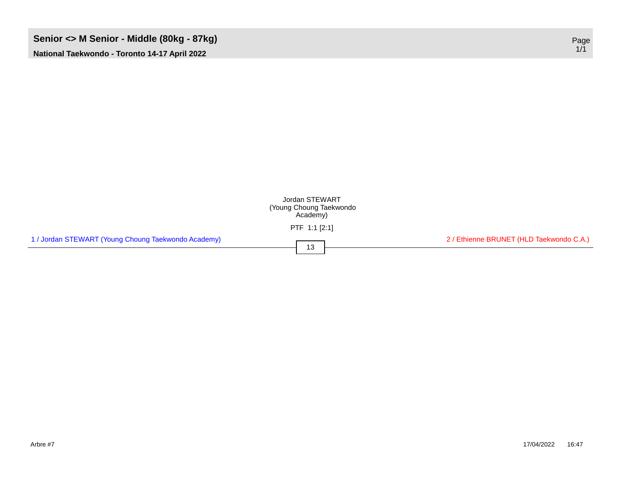## **Senior <> M Senior - Middle (80kg - 87kg)** Page

**National Taekwondo - Toronto 14-17 April 2022**



1/1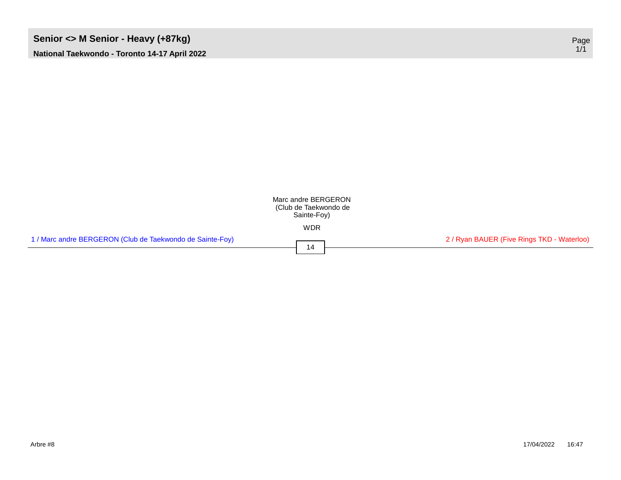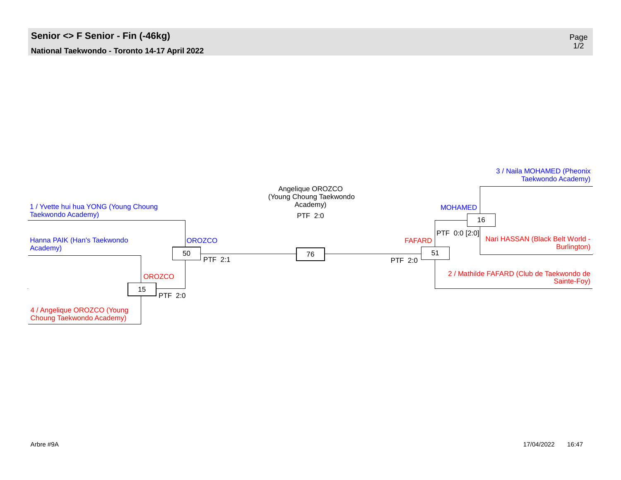

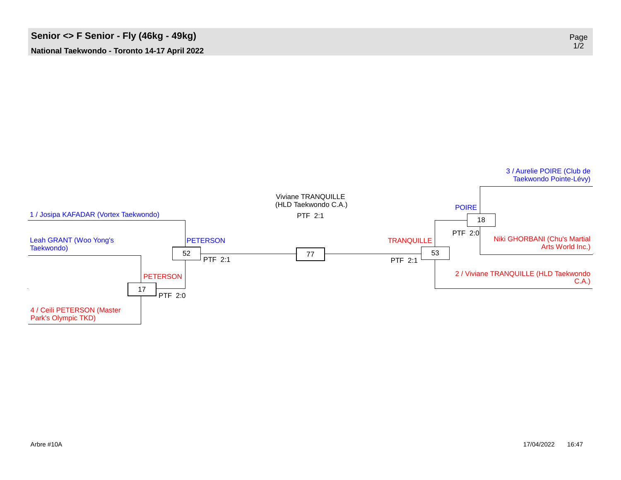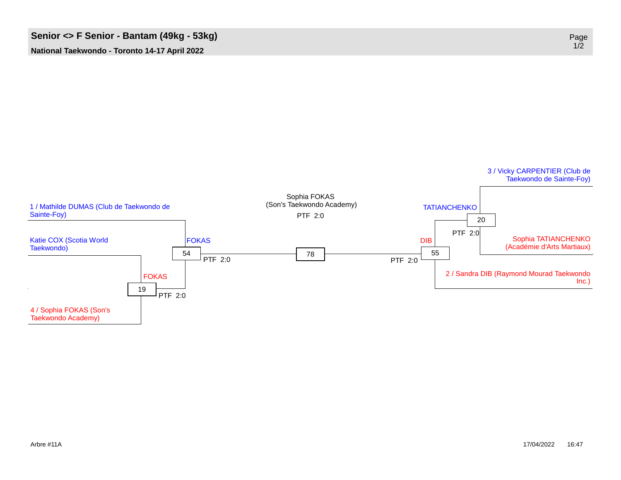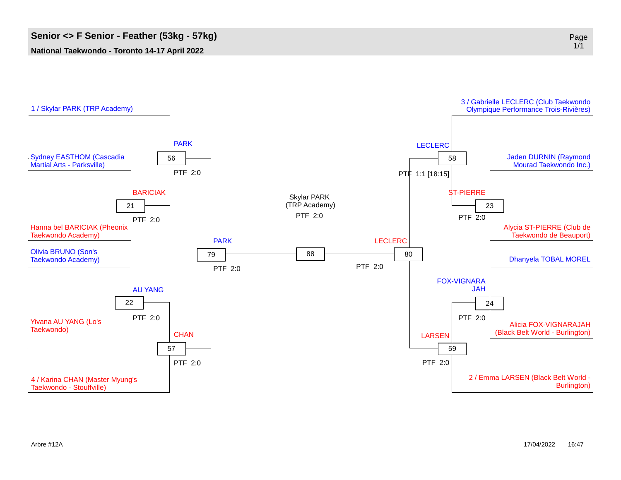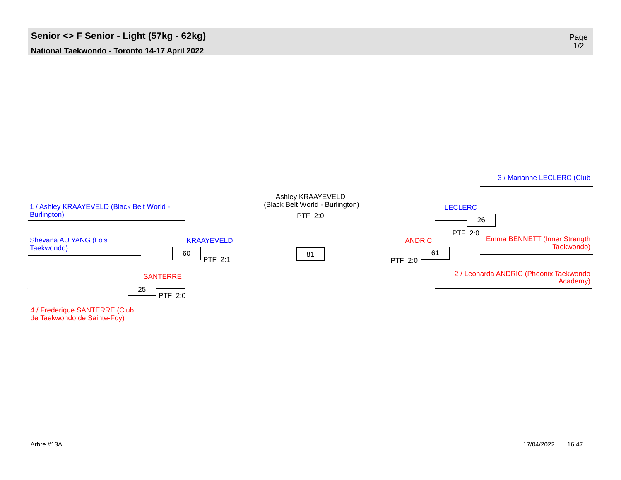

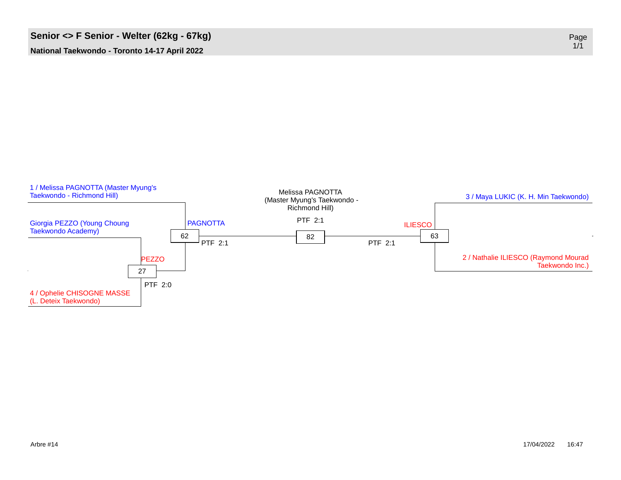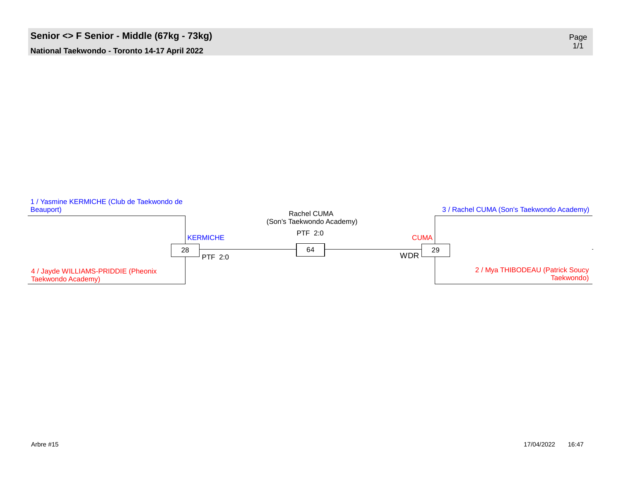